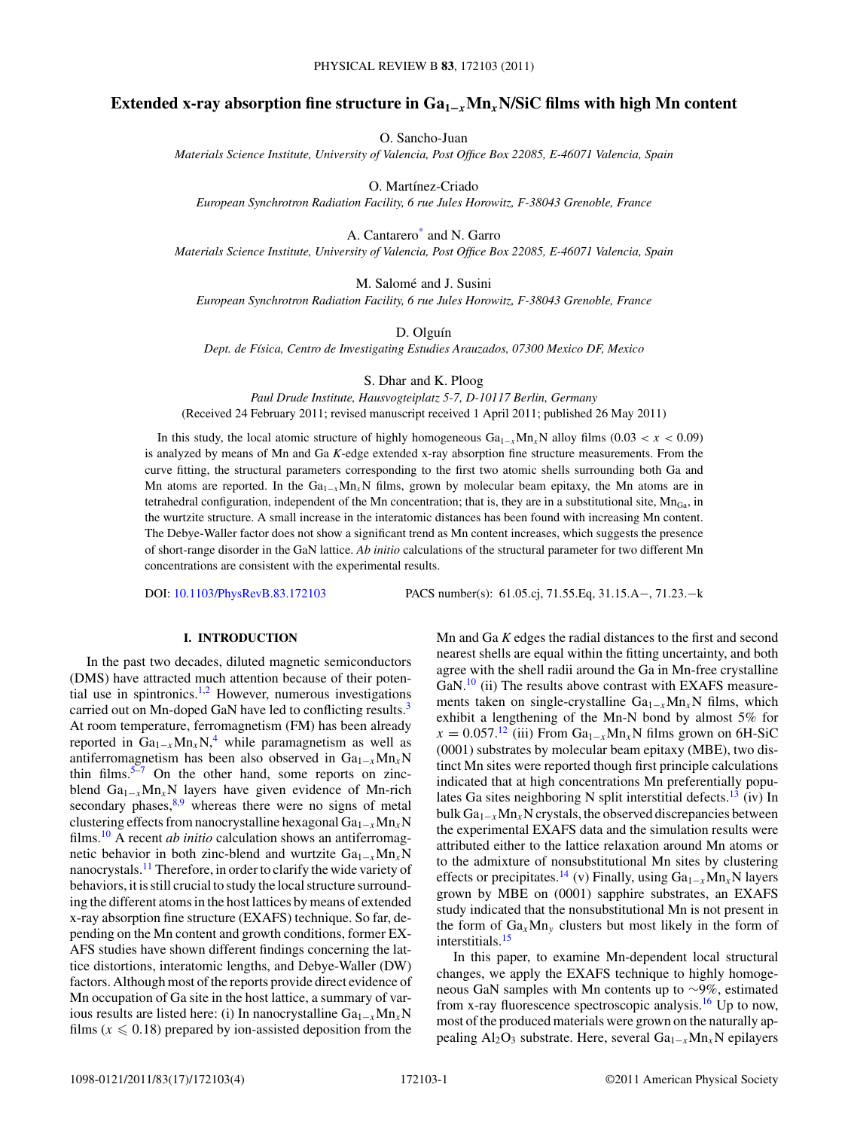# **Extended x-ray absorption fine structure in Ga1−***<sup>x</sup>***Mn***x***N/SiC films with high Mn content**

O. Sancho-Juan

*Materials Science Institute, University of Valencia, Post Office Box 22085, E-46071 Valencia, Spain*

O. Martínez-Criado

*European Synchrotron Radiation Facility, 6 rue Jules Horowitz, F-38043 Grenoble, France*

A. Cantarero[\\*](#page-3-0) and N. Garro *Materials Science Institute, University of Valencia, Post Office Box 22085, E-46071 Valencia, Spain*

M. Salomé and J. Susini *European Synchrotron Radiation Facility, 6 rue Jules Horowitz, F-38043 Grenoble, France*

D. Olguín

*Dept. de F´ısica, Centro de Investigating Estudies Arauzados, 07300 Mexico DF, Mexico*

S. Dhar and K. Ploog

*Paul Drude Institute, Hausvogteiplatz 5-7, D-10117 Berlin, Germany* (Received 24 February 2011; revised manuscript received 1 April 2011; published 26 May 2011)

In this study, the local atomic structure of highly homogeneous  $Ga_{1-x}Mn_xN$  alloy films (0.03 < *x* < 0.09) is analyzed by means of Mn and Ga *K*-edge extended x-ray absorption fine structure measurements. From the curve fitting, the structural parameters corresponding to the first two atomic shells surrounding both Ga and Mn atoms are reported. In the  $Ga_{1-x}Mn_rN$  films, grown by molecular beam epitaxy, the Mn atoms are in tetrahedral configuration, independent of the Mn concentration; that is, they are in a substitutional site,  $Mn_{Ga}$ , in the wurtzite structure. A small increase in the interatomic distances has been found with increasing Mn content. The Debye-Waller factor does not show a significant trend as Mn content increases, which suggests the presence of short-range disorder in the GaN lattice. *Ab initio* calculations of the structural parameter for two different Mn concentrations are consistent with the experimental results.

DOI: [10.1103/PhysRevB.83.172103](http://dx.doi.org/10.1103/PhysRevB.83.172103) PACS number(s): 61*.*05*.*cj, 71*.*55*.*Eq, 31*.*15*.*A−, 71*.*23*.*−k

# **I. INTRODUCTION**

In the past two decades, diluted magnetic semiconductors (DMS) have attracted much attention because of their potential use in spintronics.<sup>1,2</sup> However, numerous investigations carried out on Mn-doped GaN have led to conflicting results.<sup>[3](#page-3-0)</sup> At room temperature, ferromagnetism (FM) has been already reported in  $Ga_{1-x}Mn_xN$ ,<sup>[4](#page-3-0)</sup> while paramagnetism as well as antiferromagnetism has been also observed in  $Ga_{1-x}Mn_xN$ thin films.<sup>[5–7](#page-3-0)</sup> On the other hand, some reports on zincblend Ga1−*<sup>x</sup>*Mn*x*N layers have given evidence of Mn-rich secondary phases, $8.9$  whereas there were no signs of metal clustering effects from nanocrystalline hexagonal Ga1−*<sup>x</sup>*Mn*x*N films.[10](#page-3-0) A recent *ab initio* calculation shows an antiferromagnetic behavior in both zinc-blend and wurtzite  $Ga_{1-x}Mn_xN$ nanocrystals[.11](#page-3-0) Therefore, in order to clarify the wide variety of behaviors, it is still crucial to study the local structure surrounding the different atoms in the host lattices by means of extended x-ray absorption fine structure (EXAFS) technique. So far, depending on the Mn content and growth conditions, former EX-AFS studies have shown different findings concerning the lattice distortions, interatomic lengths, and Debye-Waller (DW) factors. Although most of the reports provide direct evidence of Mn occupation of Ga site in the host lattice, a summary of various results are listed here: (i) In nanocrystalline  $Ga_{1-x}Mn_xN$ films ( $x \le 0.18$ ) prepared by ion-assisted deposition from the

Mn and Ga *K* edges the radial distances to the first and second nearest shells are equal within the fitting uncertainty, and both agree with the shell radii around the Ga in Mn-free crystalline GaN.<sup>[10](#page-3-0)</sup> (ii) The results above contrast with EXAFS measurements taken on single-crystalline Ga<sub>1−*x*</sub>Mn<sub>*x*</sub>N films, which exhibit a lengthening of the Mn-N bond by almost 5% for  $x = 0.057$ <sup>[12](#page-3-0)</sup> (iii) From Ga<sub>1−*x*</sub>Mn<sub>*x*</sub>N films grown on 6H-SiC (0001) substrates by molecular beam epitaxy (MBE), two distinct Mn sites were reported though first principle calculations indicated that at high concentrations Mn preferentially populates Ga sites neighboring N split interstitial defects.<sup>13</sup> (iv) In bulk Ga1−*<sup>x</sup>*Mn*x*N crystals, the observed discrepancies between the experimental EXAFS data and the simulation results were attributed either to the lattice relaxation around Mn atoms or to the admixture of nonsubstitutional Mn sites by clustering effects or precipitates.[14](#page-3-0) (v) Finally, using Ga1−*<sup>x</sup>*Mn*x*N layers grown by MBE on (0001) sapphire substrates, an EXAFS study indicated that the nonsubstitutional Mn is not present in the form of  $Ga_xMn_y$  clusters but most likely in the form of interstitials.[15](#page-3-0)

In this paper, to examine Mn-dependent local structural changes, we apply the EXAFS technique to highly homogeneous GaN samples with Mn contents up to ∼9%, estimated from x-ray fluorescence spectroscopic analysis.<sup>16</sup> Up to now, most of the produced materials were grown on the naturally appealing Al<sub>2</sub>O<sub>3</sub> substrate. Here, several Ga<sub>1−*x*</sub>Mn<sub>*x*</sub>N epilayers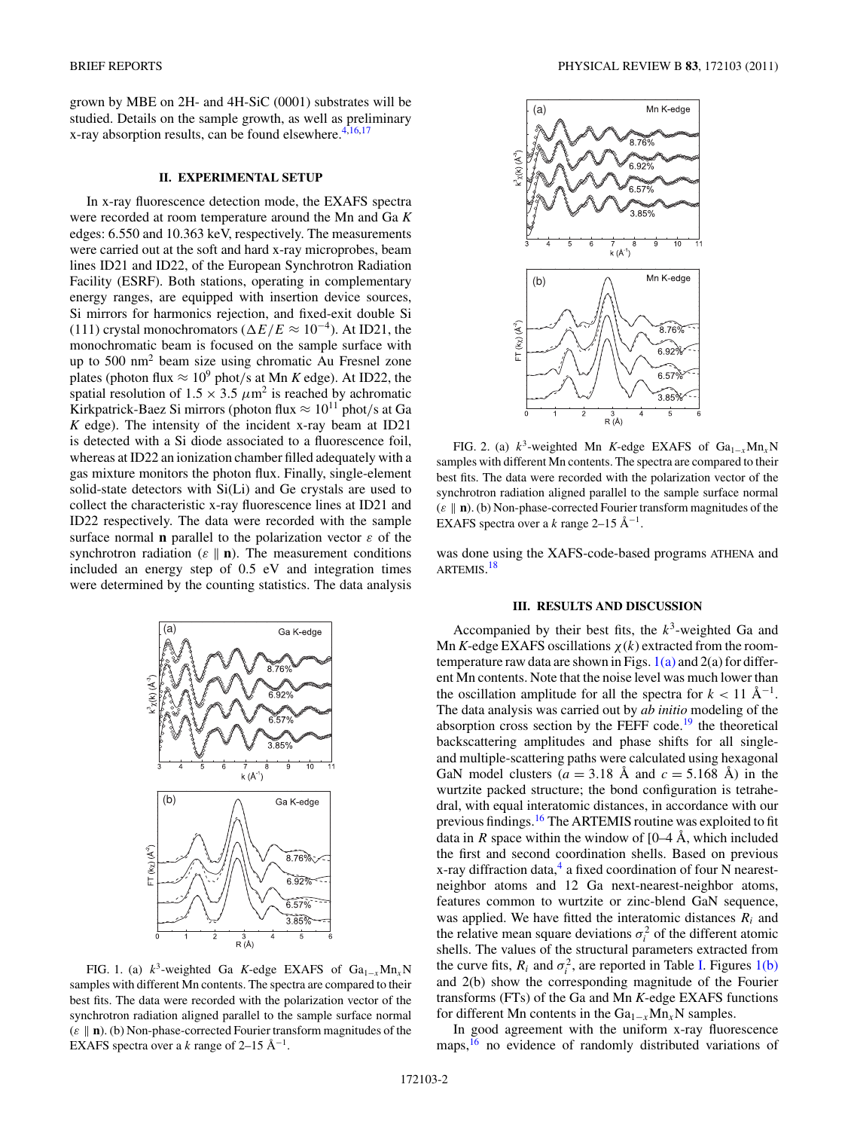<span id="page-1-0"></span>grown by MBE on 2H- and 4H-SiC (0001) substrates will be studied. Details on the sample growth, as well as preliminary x-ray absorption results, can be found elsewhere. $4,16,17$ 

## **II. EXPERIMENTAL SETUP**

In x-ray fluorescence detection mode, the EXAFS spectra were recorded at room temperature around the Mn and Ga *K* edges: 6.550 and 10.363 keV, respectively. The measurements were carried out at the soft and hard x-ray microprobes, beam lines ID21 and ID22, of the European Synchrotron Radiation Facility (ESRF). Both stations, operating in complementary energy ranges, are equipped with insertion device sources, Si mirrors for harmonics rejection, and fixed-exit double Si (111) crystal monochromators ( $\Delta E/E \approx 10^{-4}$ ). At ID21, the monochromatic beam is focused on the sample surface with up to 500 nm2 beam size using chromatic Au Fresnel zone plates (photon flux  $\approx 10^9$  phot/s at Mn *K* edge). At ID22, the spatial resolution of  $1.5 \times 3.5 \ \mu \text{m}^2$  is reached by achromatic Kirkpatrick-Baez Si mirrors (photon flux  $\approx 10^{11}$  phot/s at Ga *K* edge). The intensity of the incident x-ray beam at ID21 is detected with a Si diode associated to a fluorescence foil, whereas at ID22 an ionization chamber filled adequately with a gas mixture monitors the photon flux. Finally, single-element solid-state detectors with Si(Li) and Ge crystals are used to collect the characteristic x-ray fluorescence lines at ID21 and ID22 respectively. The data were recorded with the sample surface normal **n** parallel to the polarization vector *ε* of the synchrotron radiation ( $\varepsilon \parallel \mathbf{n}$ ). The measurement conditions included an energy step of 0.5 eV and integration times were determined by the counting statistics. The data analysis



FIG. 1. (a)  $k^3$ -weighted Ga *K*-edge EXAFS of Ga<sub>1-*x*</sub>Mn<sub>*x*</sub>N samples with different Mn contents. The spectra are compared to their best fits. The data were recorded with the polarization vector of the synchrotron radiation aligned parallel to the sample surface normal (*ε* **n**). (b) Non-phase-corrected Fourier transform magnitudes of the EXAFS spectra over a  $k$  range of 2–15  $\AA$ <sup>-1</sup>.



FIG. 2. (a)  $k^3$ -weighted Mn *K*-edge EXAFS of Ga<sub>1−*x*</sub>Mn<sub>*x*</sub>N samples with different Mn contents. The spectra are compared to their best fits. The data were recorded with the polarization vector of the synchrotron radiation aligned parallel to the sample surface normal (*ε* **n**). (b) Non-phase-corrected Fourier transform magnitudes of the EXAFS spectra over a *k* range 2–15  $\AA^{-1}$ .

was done using the XAFS-code-based programs ATHENA and ARTEMIS.<sup>[18](#page-3-0)</sup>

#### **III. RESULTS AND DISCUSSION**

Accompanied by their best fits, the  $k^3$ -weighted Ga and Mn *K*-edge EXAFS oscillations *χ*(*k*) extracted from the roomtemperature raw data are shown in Figs.  $1(a)$  and  $2(a)$  for different Mn contents. Note that the noise level was much lower than the oscillation amplitude for all the spectra for  $k < 11 \text{ Å}^{-1}$ . The data analysis was carried out by *ab initio* modeling of the absorption cross section by the FEFF code.<sup>[19](#page-3-0)</sup> the theoretical backscattering amplitudes and phase shifts for all singleand multiple-scattering paths were calculated using hexagonal GaN model clusters  $(a = 3.18 \text{ Å} \text{ and } c = 5.168 \text{ Å})$  in the wurtzite packed structure; the bond configuration is tetrahedral, with equal interatomic distances, in accordance with our previous findings.[16](#page-3-0) The ARTEMIS routine was exploited to fit data in *R* space within the window of  $[0-4 \text{ Å}, \text{ which included}]$ the first and second coordination shells. Based on previous  $x$ -ray diffraction data,<sup>[4](#page-3-0)</sup> a fixed coordination of four N nearestneighbor atoms and 12 Ga next-nearest-neighbor atoms, features common to wurtzite or zinc-blend GaN sequence, was applied. We have fitted the interatomic distances *Ri* and the relative mean square deviations  $\sigma_i^2$  of the different atomic shells. The values of the structural parameters extracted from the curve fits,  $R_i$  and  $\sigma_i^2$ , are reported in Table [I.](#page-2-0) Figures 1(b) and 2(b) show the corresponding magnitude of the Fourier transforms (FTs) of the Ga and Mn *K*-edge EXAFS functions for different Mn contents in the Ga1−*<sup>x</sup>*Mn*x*N samples.

In good agreement with the uniform x-ray fluorescence maps,<sup>[16](#page-3-0)</sup> no evidence of randomly distributed variations of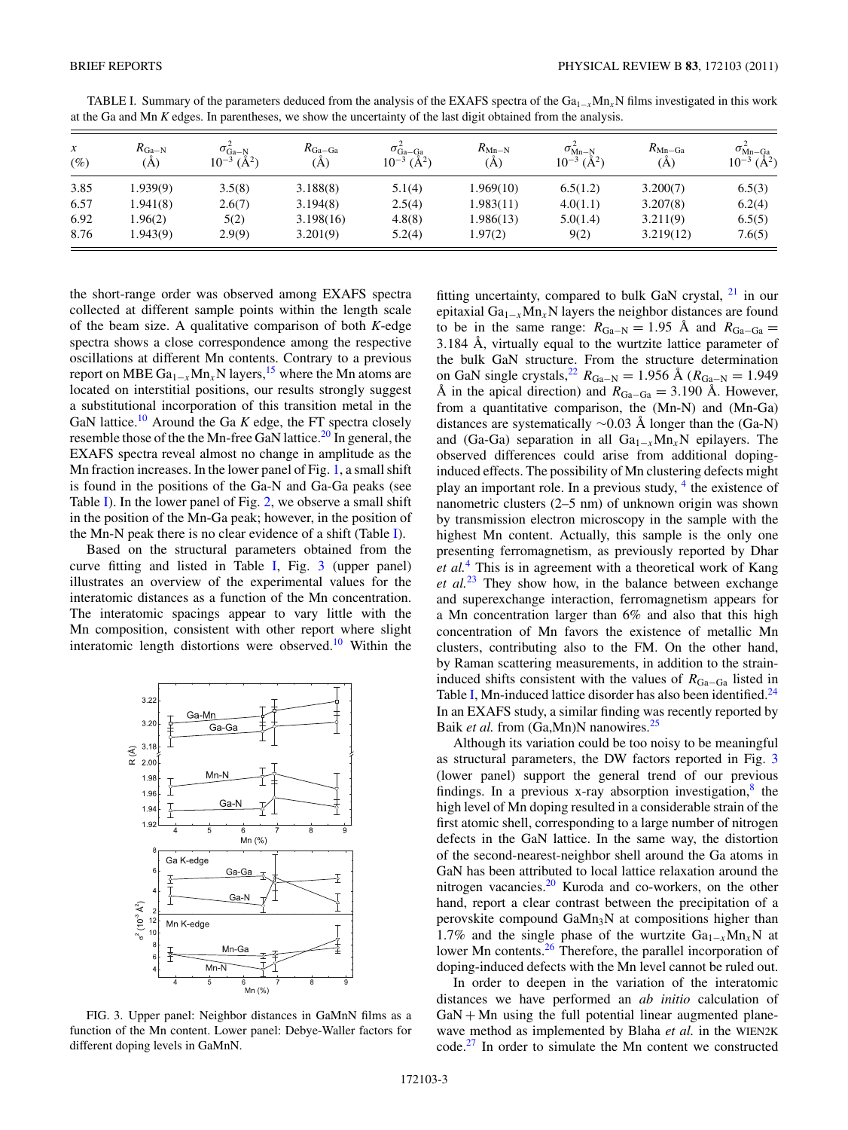| $\mathcal{X}$<br>$\left( \% \right)$ | $R_{\rm Ga-N}$<br>'A` | $\sigma_{\rm Ga-N}^2$<br>$10^{-3}$ (Å <sup>2</sup> ) | $R_{Ga-Ga}$<br>(A) | $\sigma_{Ga-Ga}^2$<br>$10^{-3}$ (Å <sup>2</sup> ) | $R_{\text{Mn-N}}$<br>`A` | $\sigma_{\text{Mn-N}}^2$<br>$10^{-3}$ (Å <sup>2</sup> ) | $R_{\text{Mn-Ga}}$<br>'A` | $\sigma_{Mn-Ga}^2$<br>$10^{-3}$ (Å <sup>2</sup> ) |
|--------------------------------------|-----------------------|------------------------------------------------------|--------------------|---------------------------------------------------|--------------------------|---------------------------------------------------------|---------------------------|---------------------------------------------------|
| 3.85                                 | 1.939(9)              | 3.5(8)                                               | 3.188(8)           | 5.1(4)                                            | 1.969(10)                | 6.5(1.2)                                                | 3.200(7)                  | 6.5(3)                                            |
| 6.57                                 | 1.941(8)              | 2.6(7)                                               | 3.194(8)           | 2.5(4)                                            | 1.983(11)                | 4.0(1.1)                                                | 3.207(8)                  | 6.2(4)                                            |
| 6.92                                 | 1.96(2)               | 5(2)                                                 | 3.198(16)          | 4.8(8)                                            | 1.986(13)                | 5.0(1.4)                                                | 3.211(9)                  | 6.5(5)                                            |
| 8.76                                 | 1.943(9)              | 2.9(9)                                               | 3.201(9)           | 5.2(4)                                            | .97(2)                   | 9(2)                                                    | 3.219(12)                 | 7.6(5)                                            |

<span id="page-2-0"></span>TABLE I. Summary of the parameters deduced from the analysis of the EXAFS spectra of the  $Ga_{1-x}Mn_xN$  films investigated in this work at the Ga and Mn *K* edges. In parentheses, we show the uncertainty of the last digit obtained from the analysis.

the short-range order was observed among EXAFS spectra collected at different sample points within the length scale of the beam size. A qualitative comparison of both *K*-edge spectra shows a close correspondence among the respective oscillations at different Mn contents. Contrary to a previous report on MBE Ga1−*<sup>x</sup>*Mn*x*N layers[,15](#page-3-0) where the Mn atoms are located on interstitial positions, our results strongly suggest a substitutional incorporation of this transition metal in the GaN lattice.<sup>[10](#page-3-0)</sup> Around the Ga *K* edge, the FT spectra closely resemble those of the the Mn-free GaN lattice.<sup>[20](#page-3-0)</sup> In general, the EXAFS spectra reveal almost no change in amplitude as the Mn fraction increases. In the lower panel of Fig. [1,](#page-1-0) a small shift is found in the positions of the Ga-N and Ga-Ga peaks (see Table I). In the lower panel of Fig. [2,](#page-1-0) we observe a small shift in the position of the Mn-Ga peak; however, in the position of the Mn-N peak there is no clear evidence of a shift (Table I).

Based on the structural parameters obtained from the curve fitting and listed in Table I, Fig. 3 (upper panel) illustrates an overview of the experimental values for the interatomic distances as a function of the Mn concentration. The interatomic spacings appear to vary little with the Mn composition, consistent with other report where slight interatomic length distortions were observed.<sup>[10](#page-3-0)</sup> Within the



FIG. 3. Upper panel: Neighbor distances in GaMnN films as a function of the Mn content. Lower panel: Debye-Waller factors for different doping levels in GaMnN.

fitting uncertainty, compared to bulk GaN crystal,  $21$  in our epitaxial Ga1−*<sup>x</sup>*Mn*x*N layers the neighbor distances are found to be in the same range:  $R_{Ga-N} = 1.95$  Å and  $R_{Ga-Ga} =$ 3.184 Å, virtually equal to the wurtzite lattice parameter of the bulk GaN structure. From the structure determination on GaN single crystals,<sup>22</sup>  $R_{Ga-N} = 1.956$  Å ( $R_{Ga-N} = 1.949$ ) A in the apical direction) and  $R_{Ga-Ga} = 3.190$  Å. However, from a quantitative comparison, the (Mn-N) and (Mn-Ga) distances are systematically ∼0.03 Å longer than the (Ga-N) and (Ga-Ga) separation in all Ga1−*<sup>x</sup>*Mn*x*N epilayers. The observed differences could arise from additional dopinginduced effects. The possibility of Mn clustering defects might play an important role. In a previous study, [4](#page-3-0) the existence of nanometric clusters (2–5 nm) of unknown origin was shown by transmission electron microscopy in the sample with the highest Mn content. Actually, this sample is the only one presenting ferromagnetism, as previously reported by Dhar *et al.*[4](#page-3-0) This is in agreement with a theoretical work of Kang *et al.*[23](#page-3-0) They show how, in the balance between exchange and superexchange interaction, ferromagnetism appears for a Mn concentration larger than 6% and also that this high concentration of Mn favors the existence of metallic Mn clusters, contributing also to the FM. On the other hand, by Raman scattering measurements, in addition to the straininduced shifts consistent with the values of  $R_{Ga-Ga}$  listed in Table I, Mn-induced lattice disorder has also been identified.<sup>[24](#page-3-0)</sup> In an EXAFS study, a similar finding was recently reported by Baik *et al.* from (Ga,Mn)N nanowires.<sup>25</sup>

Although its variation could be too noisy to be meaningful as structural parameters, the DW factors reported in Fig. 3 (lower panel) support the general trend of our previous findings. In a previous x-ray absorption investigation, $\frac{8}{3}$  the high level of Mn doping resulted in a considerable strain of the first atomic shell, corresponding to a large number of nitrogen defects in the GaN lattice. In the same way, the distortion of the second-nearest-neighbor shell around the Ga atoms in GaN has been attributed to local lattice relaxation around the nitrogen vacancies.[20](#page-3-0) Kuroda and co-workers, on the other hand, report a clear contrast between the precipitation of a perovskite compound  $\text{GaMn}_3\text{N}$  at compositions higher than 1.7% and the single phase of the wurtzite Ga1−*<sup>x</sup>*Mn*x*N at lower Mn contents.<sup>26</sup> Therefore, the parallel incorporation of doping-induced defects with the Mn level cannot be ruled out.

In order to deepen in the variation of the interatomic distances we have performed an *ab initio* calculation of  $GaN + Mn$  using the full potential linear augmented planewave method as implemented by Blaha *et al.* in the WIEN2K code.[27](#page-3-0) In order to simulate the Mn content we constructed